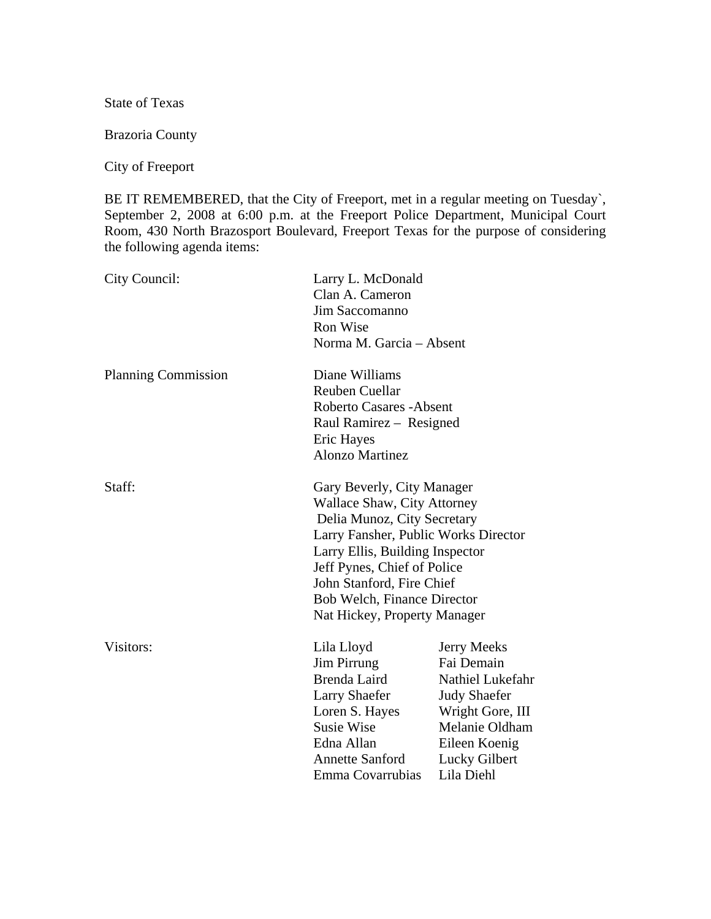State of Texas

Brazoria County

City of Freeport

BE IT REMEMBERED, that the City of Freeport, met in a regular meeting on Tuesday`, September 2, 2008 at 6:00 p.m. at the Freeport Police Department, Municipal Court Room, 430 North Brazosport Boulevard, Freeport Texas for the purpose of considering the following agenda items:

| City Council:              | Larry L. McDonald<br>Clan A. Cameron<br>Jim Saccomanno<br><b>Ron Wise</b><br>Norma M. Garcia - Absent                                                                                                                                                                                                 |                                                                                                                                                                   |
|----------------------------|-------------------------------------------------------------------------------------------------------------------------------------------------------------------------------------------------------------------------------------------------------------------------------------------------------|-------------------------------------------------------------------------------------------------------------------------------------------------------------------|
| <b>Planning Commission</b> | Diane Williams<br><b>Reuben Cuellar</b><br><b>Roberto Casares - Absent</b><br>Raul Ramirez - Resigned<br>Eric Hayes<br><b>Alonzo Martinez</b>                                                                                                                                                         |                                                                                                                                                                   |
| Staff:                     | Gary Beverly, City Manager<br><b>Wallace Shaw, City Attorney</b><br>Delia Munoz, City Secretary<br>Larry Fansher, Public Works Director<br>Larry Ellis, Building Inspector<br>Jeff Pynes, Chief of Police<br>John Stanford, Fire Chief<br>Bob Welch, Finance Director<br>Nat Hickey, Property Manager |                                                                                                                                                                   |
| Visitors:                  | Lila Lloyd<br>Jim Pirrung<br>Brenda Laird<br><b>Larry Shaefer</b><br>Loren S. Hayes<br><b>Susie Wise</b><br>Edna Allan<br><b>Annette Sanford</b><br>Emma Covarrubias                                                                                                                                  | <b>Jerry Meeks</b><br>Fai Demain<br>Nathiel Lukefahr<br><b>Judy Shaefer</b><br>Wright Gore, III<br>Melanie Oldham<br>Eileen Koenig<br>Lucky Gilbert<br>Lila Diehl |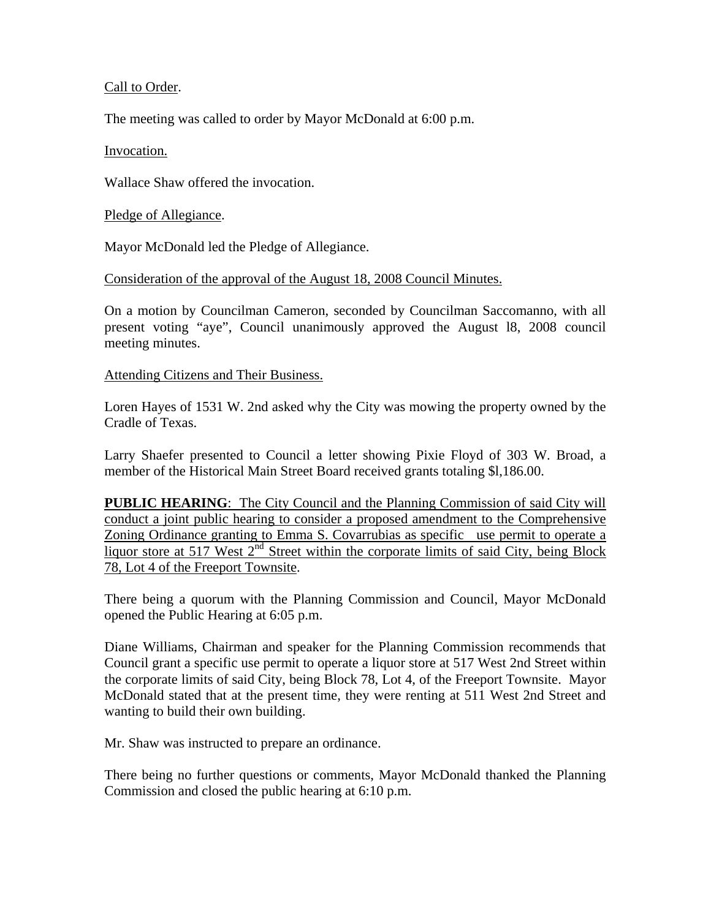# Call to Order.

The meeting was called to order by Mayor McDonald at 6:00 p.m.

### Invocation.

Wallace Shaw offered the invocation.

### Pledge of Allegiance.

Mayor McDonald led the Pledge of Allegiance.

### Consideration of the approval of the August 18, 2008 Council Minutes.

On a motion by Councilman Cameron, seconded by Councilman Saccomanno, with all present voting "aye", Council unanimously approved the August l8, 2008 council meeting minutes.

#### Attending Citizens and Their Business.

Loren Hayes of 1531 W. 2nd asked why the City was mowing the property owned by the Cradle of Texas.

Larry Shaefer presented to Council a letter showing Pixie Floyd of 303 W. Broad, a member of the Historical Main Street Board received grants totaling \$l,186.00.

**PUBLIC HEARING:** The City Council and the Planning Commission of said City will conduct a joint public hearing to consider a proposed amendment to the Comprehensive Zoning Ordinance granting to Emma S. Covarrubias as specific use permit to operate a liquor store at 517 West 2<sup>nd</sup> Street within the corporate limits of said City, being Block 78, Lot 4 of the Freeport Townsite.

There being a quorum with the Planning Commission and Council, Mayor McDonald opened the Public Hearing at 6:05 p.m.

Diane Williams, Chairman and speaker for the Planning Commission recommends that Council grant a specific use permit to operate a liquor store at 517 West 2nd Street within the corporate limits of said City, being Block 78, Lot 4, of the Freeport Townsite. Mayor McDonald stated that at the present time, they were renting at 511 West 2nd Street and wanting to build their own building.

Mr. Shaw was instructed to prepare an ordinance.

There being no further questions or comments, Mayor McDonald thanked the Planning Commission and closed the public hearing at 6:10 p.m.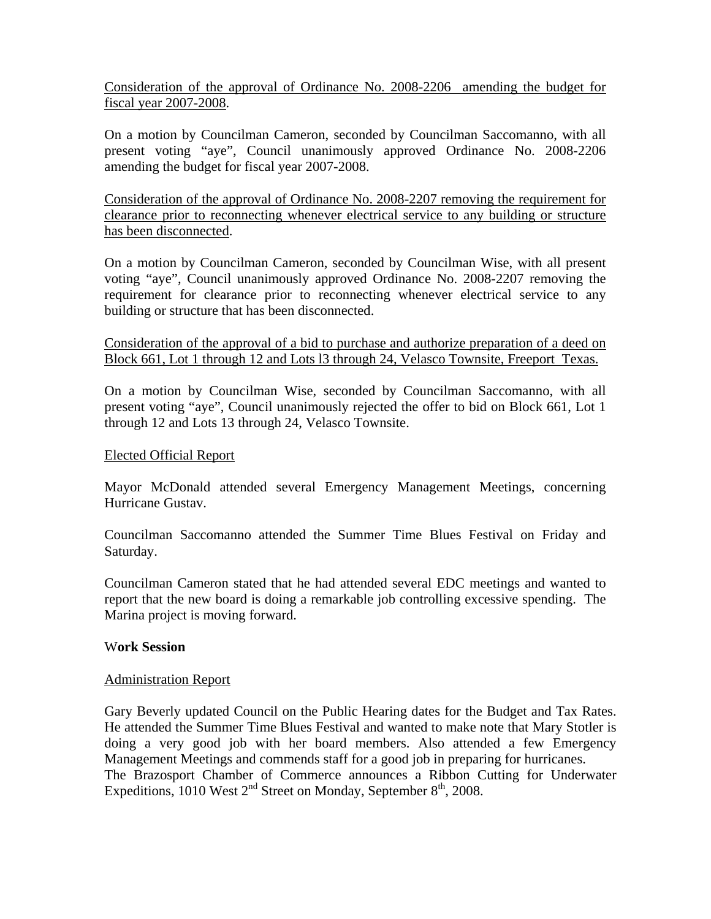Consideration of the approval of Ordinance No. 2008-2206 amending the budget for fiscal year 2007-2008.

On a motion by Councilman Cameron, seconded by Councilman Saccomanno, with all present voting "aye", Council unanimously approved Ordinance No. 2008-2206 amending the budget for fiscal year 2007-2008.

Consideration of the approval of Ordinance No. 2008-2207 removing the requirement for clearance prior to reconnecting whenever electrical service to any building or structure has been disconnected.

On a motion by Councilman Cameron, seconded by Councilman Wise, with all present voting "aye", Council unanimously approved Ordinance No. 2008-2207 removing the requirement for clearance prior to reconnecting whenever electrical service to any building or structure that has been disconnected.

Consideration of the approval of a bid to purchase and authorize preparation of a deed on Block 661, Lot 1 through 12 and Lots l3 through 24, Velasco Townsite, Freeport Texas.

On a motion by Councilman Wise, seconded by Councilman Saccomanno, with all present voting "aye", Council unanimously rejected the offer to bid on Block 661, Lot 1 through 12 and Lots 13 through 24, Velasco Townsite.

#### Elected Official Report

Mayor McDonald attended several Emergency Management Meetings, concerning Hurricane Gustav.

Councilman Saccomanno attended the Summer Time Blues Festival on Friday and Saturday.

Councilman Cameron stated that he had attended several EDC meetings and wanted to report that the new board is doing a remarkable job controlling excessive spending. The Marina project is moving forward.

### W**ork Session**

### Administration Report

Gary Beverly updated Council on the Public Hearing dates for the Budget and Tax Rates. He attended the Summer Time Blues Festival and wanted to make note that Mary Stotler is doing a very good job with her board members. Also attended a few Emergency Management Meetings and commends staff for a good job in preparing for hurricanes. The Brazosport Chamber of Commerce announces a Ribbon Cutting for Underwater Expeditions, 1010 West  $2<sup>nd</sup>$  Street on Monday, September  $8<sup>th</sup>$ , 2008.